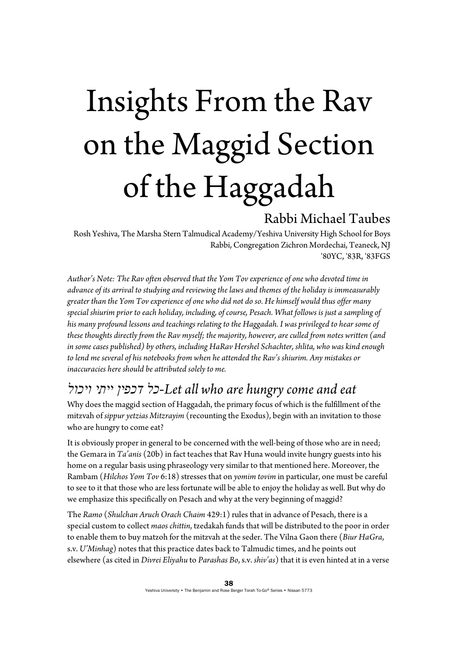# Insights From the Rav on the Maggid Section of the Haggadah

#### Rabbi Michael Taubes

Rosh Yeshiva, The Marsha Stern Talmudical Academy/Yeshiva University High School for Boys Rabbi, Congregation Zichron Mordechai, Teaneck, NJ '80YC, '83R, '83FGS

*Author's Note: The Rav often observed that the Yom Tov experience of one who devoted time in advance of its arrival to studying and reviewing the laws and themes of the holiday is immeasurably greater than the Yom Tov experience of one who did not do so. He himself would thus offer many special shiurim prior to each holiday, including, of course, Pesach. What follows is just a sampling of his many profound lessons and teachings relating to the Haggadah. I was privileged to hear some of these thoughts directly from the Rav myself; the majority, however, are culled from notes written (and in some cases published) by others, including HaRav Hershel Schachter, shlita, who was kind enough to lend me several of his notebooks from when he attended the Rav's shiurim. Any mistakes or inaccuracies here should be attributed solely to me.*

#### *ויכול ייתי דכפין כל-Let all who are hungry come and eat*

Why does the maggid section of Haggadah, the primary focus of which is the fulfillment of the mitzvah of *sippur yetzias Mitzrayim* (recounting the Exodus), begin with an invitation to those who are hungry to come eat?

It is obviously proper in general to be concerned with the well-being of those who are in need; the Gemara in *Ta'anis* (20b) in fact teaches that Rav Huna would invite hungry guests into his home on a regular basis using phraseology very similar to that mentioned here. Moreover, the Rambam (*Hilchos Yom Tov* 6:18) stresses that on *yomim tovim* in particular, one must be careful to see to it that those who are less fortunate will be able to enjoy the holiday as well. But why do we emphasize this specifically on Pesach and why at the very beginning of maggid?

The *Ramo* (*Shulchan Aruch Orach Chaim* 429:1) rules that in advance of Pesach, there is a special custom to collect *maos chittin*, tzedakah funds that will be distributed to the poor in order to enable them to buy matzoh for the mitzvah at the seder. The Vilna Gaon there (*Biur HaGra*, s.v. *U'Minhag*) notes that this practice dates back to Talmudic times, and he points out elsewhere (as cited in *Divrei Eliyahu* to *Parashas Bo*, s.v. *shiv'as*) that it is even hinted at in a verse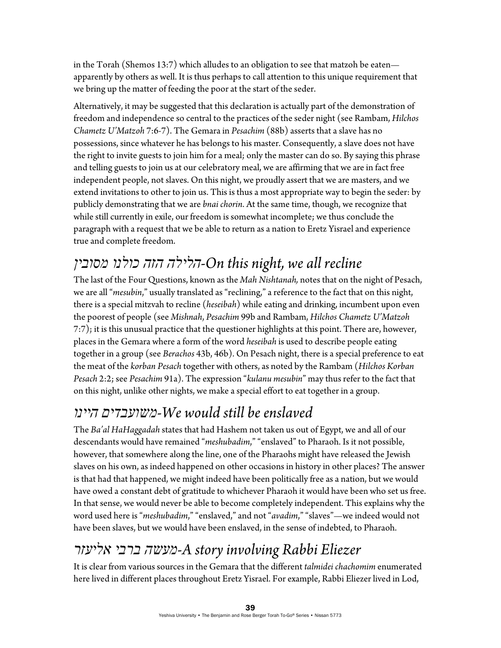in the Torah (Shemos 13:7) which alludes to an obligation to see that matzoh be eaten apparently by others as well. It is thus perhaps to call attention to this unique requirement that we bring up the matter of feeding the poor at the start of the seder.

Alternatively, it may be suggested that this declaration is actually part of the demonstration of freedom and independence so central to the practices of the seder night (see Rambam, *Hilchos Chametz U'Matzoh* 7:6-7). The Gemara in *Pesachim* (88b) asserts that a slave has no possessions, since whatever he has belongs to his master. Consequently, a slave does not have the right to invite guests to join him for a meal; only the master can do so. By saying this phrase and telling guests to join us at our celebratory meal, we are affirming that we are in fact free independent people, not slaves. On this night, we proudly assert that we are masters, and we extend invitations to other to join us. This is thus a most appropriate way to begin the seder: by publicly demonstrating that we are *bnai chorin*. At the same time, though, we recognize that while still currently in exile, our freedom is somewhat incomplete; we thus conclude the paragraph with a request that we be able to return as a nation to Eretz Yisrael and experience true and complete freedom.

# *מסובין כולנו הזה הלילה-On this night, we all recline*

The last of the Four Questions, known as the *Mah Nishtanah,* notes that on the night of Pesach, we are all "*mesubin*," usually translated as "reclining," a reference to the fact that on this night, there is a special mitzvah to recline (*heseibah*) while eating and drinking, incumbent upon even the poorest of people (see *Mishnah*, *Pesachim* 99b and Rambam, *Hilchos Chametz U'Matzoh* 7:7); it is this unusual practice that the questioner highlights at this point. There are, however, places in the Gemara where a form of the word *heseibah* is used to describe people eating together in a group (see *Berachos* 43b, 46b). On Pesach night, there is a special preference to eat the meat of the *korban Pesach* together with others, as noted by the Rambam (*Hilchos Korban Pesach* 2:2; see *Pesachim* 91a). The expression "*kulanu mesubin*" may thus refer to the fact that on this night, unlike other nights, we make a special effort to eat together in a group.

## *היינו משועבדים-We would still be enslaved*

The *Ba'al HaHaggadah* states that had Hashem not taken us out of Egypt, we and all of our descendants would have remained "*meshubadim*," "enslaved" to Pharaoh. Is it not possible, however, that somewhere along the line, one of the Pharaohs might have released the Jewish slaves on his own, as indeed happened on other occasions in history in other places? The answer is that had that happened, we might indeed have been politically free as a nation, but we would have owed a constant debt of gratitude to whichever Pharaoh it would have been who set us free. In that sense, we would never be able to become completely independent. This explains why the word used here is "*meshubadim*," "enslaved," and not "*avadim*," "slaves"—we indeed would not have been slaves, but we would have been enslaved, in the sense of indebted, to Pharaoh.

# *אליעזר ברבי מעשה-A story involving Rabbi Eliezer*

It is clear from various sources in the Gemara that the different *talmidei chachomim* enumerated here lived in different places throughout Eretz Yisrael. For example, Rabbi Eliezer lived in Lod,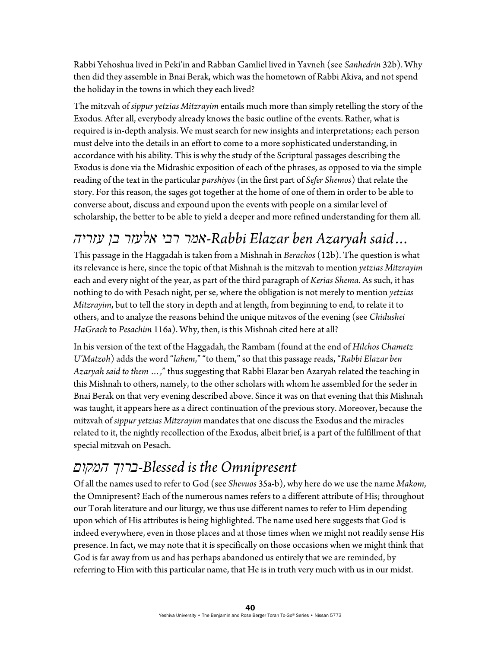Rabbi Yehoshua lived in Peki'in and Rabban Gamliel lived in Yavneh (see *Sanhedrin* 32b). Why then did they assemble in Bnai Berak, which was the hometown of Rabbi Akiva, and not spend the holiday in the towns in which they each lived?

The mitzvah of *sippur yetzias Mitzrayim* entails much more than simply retelling the story of the Exodus. After all, everybody already knows the basic outline of the events. Rather, what is required is in-depth analysis. We must search for new insights and interpretations; each person must delve into the details in an effort to come to a more sophisticated understanding, in accordance with his ability. This is why the study of the Scriptural passages describing the Exodus is done via the Midrashic exposition of each of the phrases, as opposed to via the simple reading of the text in the particular *parshiyos* (in the first part of *Sefer Shemos*) that relate the story. For this reason, the sages got together at the home of one of them in order to be able to converse about, discuss and expound upon the events with people on a similar level of scholarship, the better to be able to yield a deeper and more refined understanding for them all.

## *...said Azaryah ben Elazar Rabbi-אמר רבי אלעזר בן עזריה*

This passage in the Haggadah is taken from a Mishnah in *Berachos* (12b). The question is what its relevance is here, since the topic of that Mishnah is the mitzvah to mention *yetzias Mitzrayim* each and every night of the year, as part of the third paragraph of *Kerias Shema*. As such, it has nothing to do with Pesach night, per se, where the obligation is not merely to mention *yetzias Mitzrayim*, but to tell the story in depth and at length, from beginning to end, to relate it to others, and to analyze the reasons behind the unique mitzvos of the evening (see *Chidushei HaGrach* to *Pesachim* 116a). Why, then, is this Mishnah cited here at all?

In his version of the text of the Haggadah, the Rambam (found at the end of *Hilchos Chametz U'Matzoh*) adds the word "*lahem*," "to them," so that this passage reads, "*Rabbi Elazar ben Azaryah said to them …,*" thus suggesting that Rabbi Elazar ben Azaryah related the teaching in this Mishnah to others, namely, to the other scholars with whom he assembled for the seder in Bnai Berak on that very evening described above. Since it was on that evening that this Mishnah was taught, it appears here as a direct continuation of the previous story. Moreover, because the mitzvah of *sippur yetzias Mitzrayim* mandates that one discuss the Exodus and the miracles related to it, the nightly recollection of the Exodus, albeit brief, is a part of the fulfillment of that special mitzvah on Pesach.

## *המקום ברוך-Blessed is the Omnipresent*

Of all the names used to refer to God (see *Shevuos* 35a-b), why here do we use the name *Makom*, the Omnipresent? Each of the numerous names refers to a different attribute of His; throughout our Torah literature and our liturgy, we thus use different names to refer to Him depending upon which of His attributes is being highlighted. The name used here suggests that God is indeed everywhere, even in those places and at those times when we might not readily sense His presence. In fact, we may note that it is specifically on those occasions when we might think that God is far away from us and has perhaps abandoned us entirely that we are reminded, by referring to Him with this particular name, that He is in truth very much with us in our midst.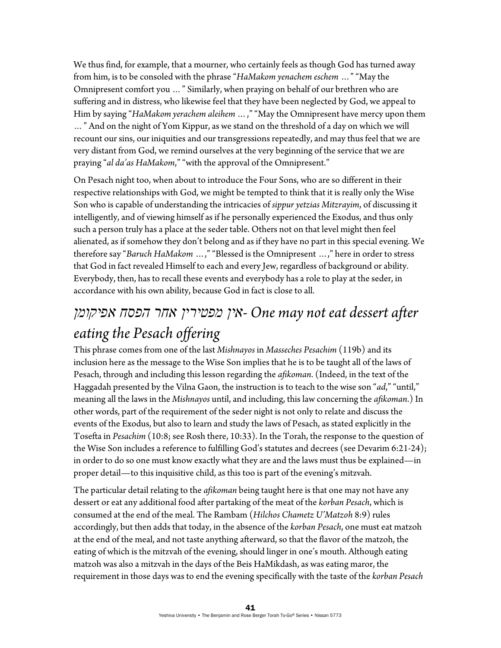We thus find, for example, that a mourner, who certainly feels as though God has turned away from him, is to be consoled with the phrase "*HaMakom yenachem eschem* …" "May the Omnipresent comfort you *…*" Similarly, when praying on behalf of our brethren who are suffering and in distress, who likewise feel that they have been neglected by God, we appeal to Him by saying "HaMakom yerachem aleihem ...," "May the Omnipresent have mercy upon them *…*" And on the night of Yom Kippur, as we stand on the threshold of a day on which we will recount our sins, our iniquities and our transgressions repeatedly, and may thus feel that we are very distant from God, we remind ourselves at the very beginning of the service that we are praying "al da'as HaMakom," "with the approval of the Omnipresent."

On Pesach night too, when about to introduce the Four Sons, who are so different in their respective relationships with God, we might be tempted to think that it is really only the Wise Son who is capable of understanding the intricacies of *sippur yetzias Mitzrayim*, of discussing it intelligently, and of viewing himself as if he personally experienced the Exodus, and thus only such a person truly has a place at the seder table. Others not on that level might then feel alienated, as if somehow they don't belong and as if they have no part in this special evening. We therefore say "*Baruch HaMakom* …," "Blessed is the Omnipresent …," here in order to stress that God in fact revealed Himself to each and every Jew, regardless of background or ability. Everybody, then, has to recall these events and everybody has a role to play at the seder, in accordance with his own ability, because God in fact is close to all.

# *אפיקומן הפסח אחר מפטירין אין- One may not eat dessert after eating the Pesach offering*

This phrase comes from one of the last *Mishnayos* in *Masseches Pesachim* (119b) and its inclusion here as the message to the Wise Son implies that he is to be taught all of the laws of Pesach, through and including this lesson regarding the *afikoman*. (Indeed, in the text of the Haggadah presented by the Vilna Gaon, the instruction is to teach to the wise son "*ad*," "until," meaning all the laws in the *Mishnayos* until, and including, this law concerning the *afikoman*.) In other words, part of the requirement of the seder night is not only to relate and discuss the events of the Exodus, but also to learn and study the laws of Pesach, as stated explicitly in the Tosefta in *Pesachim* (10:8; see Rosh there, 10:33). In the Torah, the response to the question of the Wise Son includes a reference to fulfilling God's statutes and decrees (see Devarim 6:21-24); in order to do so one must know exactly what they are and the laws must thus be explained—in proper detail—to this inquisitive child, as this too is part of the evening's mitzvah.

The particular detail relating to the *afikoman* being taught here is that one may not have any dessert or eat any additional food after partaking of the meat of the *korban Pesach*, which is consumed at the end of the meal. The Rambam (*Hilchos Chametz U'Matzoh* 8:9) rules accordingly, but then adds that today, in the absence of the *korban Pesach*, one must eat matzoh at the end of the meal, and not taste anything afterward, so that the flavor of the matzoh, the eating of which is the mitzvah of the evening, should linger in one's mouth. Although eating matzoh was also a mitzvah in the days of the Beis HaMikdash, as was eating maror, the requirement in those days was to end the evening specifically with the taste of the *korban Pesach*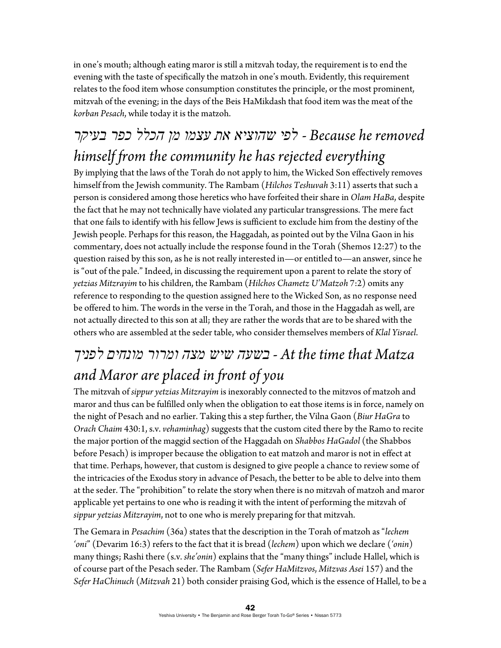in one's mouth; although eating maror is still a mitzvah today, the requirement is to end the evening with the taste of specifically the matzoh in one's mouth. Evidently, this requirement relates to the food item whose consumption constitutes the principle, or the most prominent, mitzvah of the evening; in the days of the Beis HaMikdash that food item was the meat of the *korban Pesach*, while today it is the matzoh.

# *removed he Because - לפי שהוציא את עצמו מן הכלל כפר בעיקר himself from the community he has rejected everything*

By implying that the laws of the Torah do not apply to him, the Wicked Son effectively removes himself from the Jewish community. The Rambam (*Hilchos Teshuvah* 3:11) asserts that such a person is considered among those heretics who have forfeited their share in *Olam HaBa*, despite the fact that he may not technically have violated any particular transgressions. The mere fact that one fails to identify with his fellow Jews is sufficient to exclude him from the destiny of the Jewish people. Perhaps for this reason, the Haggadah, as pointed out by the Vilna Gaon in his commentary, does not actually include the response found in the Torah (Shemos 12:27) to the question raised by this son, as he is not really interested in—or entitled to—an answer, since he is "out of the pale." Indeed, in discussing the requirement upon a parent to relate the story of *yetzias Mitzrayim* to his children, the Rambam (*Hilchos Chametz U'Matzoh* 7:2) omits any reference to responding to the question assigned here to the Wicked Son, as no response need be offered to him. The words in the verse in the Torah, and those in the Haggadah as well, are not actually directed to this son at all; they are rather the words that are to be shared with the others who are assembled at the seder table, who consider themselves members of *Klal Yisrael*.

# *Matza that time the At - בשעה שיש מצה ומרור מונחים לפניך and Maror are placed in front of you*

The mitzvah of *sippur yetzias Mitzrayim* is inexorably connected to the mitzvos of matzoh and maror and thus can be fulfilled only when the obligation to eat those items is in force, namely on the night of Pesach and no earlier. Taking this a step further, the Vilna Gaon (*Biur HaGra* to *Orach Chaim* 430:1, s.v. *vehaminhag*) suggests that the custom cited there by the Ramo to recite the major portion of the maggid section of the Haggadah on *Shabbos HaGadol* (the Shabbos before Pesach) is improper because the obligation to eat matzoh and maror is not in effect at that time. Perhaps, however, that custom is designed to give people a chance to review some of the intricacies of the Exodus story in advance of Pesach, the better to be able to delve into them at the seder. The "prohibition" to relate the story when there is no mitzvah of matzoh and maror applicable yet pertains to one who is reading it with the intent of performing the mitzvah of *sippur yetzias Mitzrayim*, not to one who is merely preparing for that mitzvah.

The Gemara in *Pesachim* (36a) states that the description in the Torah of matzoh as "*lechem 'oni*" (Devarim 16:3) refers to the fact that it is bread (*lechem*) upon which we declare (*'onin*) many things; Rashi there (s.v. *she'onin*) explains that the "many things" include Hallel, which is of course part of the Pesach seder. The Rambam (*Sefer HaMitzvos*, *Mitzvas Asei* 157) and the *Sefer HaChinuch* (*Mitzvah* 21) both consider praising God, which is the essence of Hallel, to be a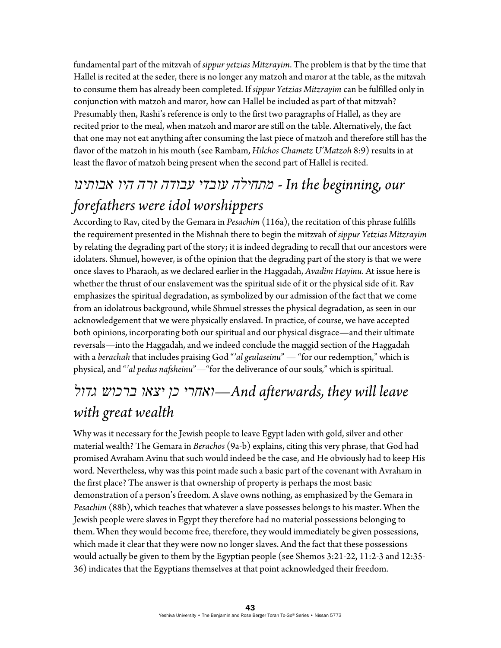fundamental part of the mitzvah of *sippur yetzias Mitzrayim*. The problem is that by the time that Hallel is recited at the seder, there is no longer any matzoh and maror at the table, as the mitzvah to consume them has already been completed. If *sippur Yetzias Mitzrayim* can be fulfilled only in conjunction with matzoh and maror, how can Hallel be included as part of that mitzvah? Presumably then, Rashi's reference is only to the first two paragraphs of Hallel, as they are recited prior to the meal, when matzoh and maror are still on the table. Alternatively, the fact that one may not eat anything after consuming the last piece of matzoh and therefore still has the flavor of the matzoh in his mouth (see Rambam, *Hilchos Chametz U'Matzoh* 8:9) results in at least the flavor of matzoh being present when the second part of Hallel is recited.

# *our ,beginning the In - מתחילה עובדי עבודה זרה היו אבותינו forefathers were idol worshippers*

According to Rav, cited by the Gemara in *Pesachim* (116a), the recitation of this phrase fulfills the requirement presented in the Mishnah there to begin the mitzvah of *sippur Yetzias Mitzrayim* by relating the degrading part of the story; it is indeed degrading to recall that our ancestors were idolaters. Shmuel, however, is of the opinion that the degrading part of the story is that we were once slaves to Pharaoh, as we declared earlier in the Haggadah, *Avadim Hayinu*. At issue here is whether the thrust of our enslavement was the spiritual side of it or the physical side of it. Rav emphasizes the spiritual degradation, as symbolized by our admission of the fact that we come from an idolatrous background, while Shmuel stresses the physical degradation, as seen in our acknowledgement that we were physically enslaved. In practice, of course, we have accepted both opinions, incorporating both our spiritual and our physical disgrace—and their ultimate reversals—into the Haggadah, and we indeed conclude the maggid section of the Haggadah with a *berachah* that includes praising God "*'al geulaseinu*" — "for our redemption," which is physical, and "*'al pedus nafsheinu*"—"for the deliverance of our souls*,*" which is spiritual.

## *leave will they ,afterwards And—ואחרי כן יצאו ברכוש גדול with great wealth*

Why was it necessary for the Jewish people to leave Egypt laden with gold, silver and other material wealth? The Gemara in *Berachos* (9a-b) explains, citing this very phrase, that God had promised Avraham Avinu that such would indeed be the case, and He obviously had to keep His word. Nevertheless, why was this point made such a basic part of the covenant with Avraham in the first place? The answer is that ownership of property is perhaps the most basic demonstration of a person's freedom. A slave owns nothing, as emphasized by the Gemara in *Pesachim* (88b), which teaches that whatever a slave possesses belongs to his master. When the Jewish people were slaves in Egypt they therefore had no material possessions belonging to them. When they would become free, therefore, they would immediately be given possessions, which made it clear that they were now no longer slaves. And the fact that these possessions would actually be given to them by the Egyptian people (see Shemos 3:21-22, 11:2-3 and 12:35- 36) indicates that the Egyptians themselves at that point acknowledged their freedom.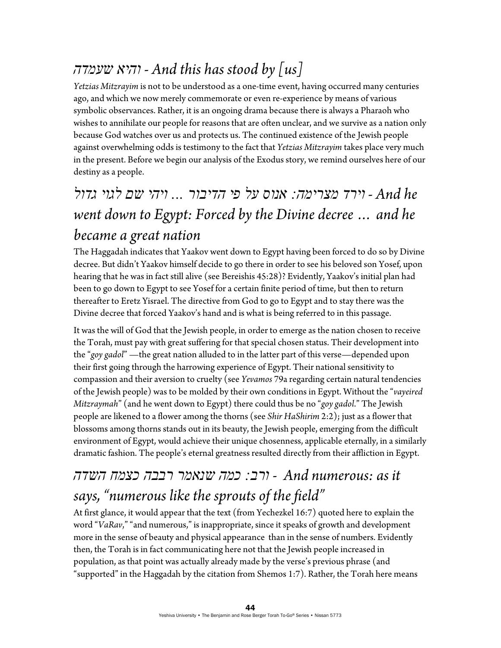## *שעמדה והיא - And this has stood by [us]*

*Yetzias Mitzrayim* is not to be understood as a one-time event, having occurred many centuries ago, and which we now merely commemorate or even re-experience by means of various symbolic observances. Rather, it is an ongoing drama because there is always a Pharaoh who wishes to annihilate our people for reasons that are often unclear, and we survive as a nation only because God watches over us and protects us. The continued existence of the Jewish people against overwhelming odds is testimony to the fact that *Yetzias Mitzrayim* takes place very much in the present. Before we begin our analysis of the Exodus story, we remind ourselves here of our destiny as a people.

# *he And - וירד מצרימה: אנוס על פי הדיבור ... ויהי שם לגוי גדול went down to Egypt: Forced by the Divine decree … and he became a great nation*

The Haggadah indicates that Yaakov went down to Egypt having been forced to do so by Divine decree. But didn't Yaakov himself decide to go there in order to see his beloved son Yosef, upon hearing that he was in fact still alive (see Bereishis 45:28)? Evidently, Yaakov's initial plan had been to go down to Egypt to see Yosef for a certain finite period of time, but then to return thereafter to Eretz Yisrael. The directive from God to go to Egypt and to stay there was the Divine decree that forced Yaakov's hand and is what is being referred to in this passage.

It was the will of God that the Jewish people, in order to emerge as the nation chosen to receive the Torah, must pay with great suffering for that special chosen status. Their development into the "*goy gadol*" —the great nation alluded to in the latter part of this verse—depended upon their first going through the harrowing experience of Egypt. Their national sensitivity to compassion and their aversion to cruelty (see *Yevamos* 79a regarding certain natural tendencies of the Jewish people) was to be molded by their own conditions in Egypt. Without the "*vayeired Mitzraymah*" (and he went down to Egypt) there could thus be no "*goy gadol*." The Jewish people are likened to a flower among the thorns (see *Shir HaShirim* 2:2); just as a flower that blossoms among thorns stands out in its beauty, the Jewish people, emerging from the difficult environment of Egypt, would achieve their unique chosenness, applicable eternally, in a similarly dramatic fashion. The people's eternal greatness resulted directly from their affliction in Egypt.

## *it as :numerous And* - *ורב: כמה שנאמר רבבה כצמח השדה says, "numerous like the sprouts of the field"*

At first glance, it would appear that the text (from Yechezkel 16:7) quoted here to explain the word "*VaRav*," "and numerous," is inappropriate, since it speaks of growth and development more in the sense of beauty and physical appearance than in the sense of numbers. Evidently then, the Torah is in fact communicating here not that the Jewish people increased in population, as that point was actually already made by the verse's previous phrase (and "supported" in the Haggadah by the citation from Shemos 1:7). Rather, the Torah here means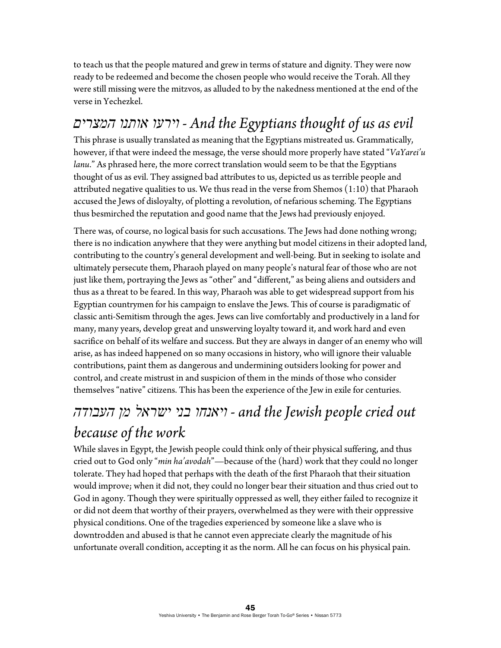to teach us that the people matured and grew in terms of stature and dignity. They were now ready to be redeemed and become the chosen people who would receive the Torah. All they were still missing were the mitzvos, as alluded to by the nakedness mentioned at the end of the verse in Yechezkel.

## *המצרים אותנו וירעו - And the Egyptians thought of us as evil*

This phrase is usually translated as meaning that the Egyptians mistreated us. Grammatically, however, if that were indeed the message, the verse should more properly have stated "*VaYarei'u lanu*." As phrased here, the more correct translation would seem to be that the Egyptians thought of us as evil. They assigned bad attributes to us, depicted us as terrible people and attributed negative qualities to us. We thus read in the verse from Shemos (1:10) that Pharaoh accused the Jews of disloyalty, of plotting a revolution, of nefarious scheming. The Egyptians thus besmirched the reputation and good name that the Jews had previously enjoyed.

There was, of course, no logical basis for such accusations. The Jews had done nothing wrong; there is no indication anywhere that they were anything but model citizens in their adopted land, contributing to the country's general development and well-being. But in seeking to isolate and ultimately persecute them, Pharaoh played on many people's natural fear of those who are not just like them, portraying the Jews as "other" and "different," as being aliens and outsiders and thus as a threat to be feared. In this way, Pharaoh was able to get widespread support from his Egyptian countrymen for his campaign to enslave the Jews. This of course is paradigmatic of classic anti-Semitism through the ages. Jews can live comfortably and productively in a land for many, many years, develop great and unswerving loyalty toward it, and work hard and even sacrifice on behalf of its welfare and success. But they are always in danger of an enemy who will arise, as has indeed happened on so many occasions in history, who will ignore their valuable contributions, paint them as dangerous and undermining outsiders looking for power and control, and create mistrust in and suspicion of them in the minds of those who consider themselves "native" citizens. This has been the experience of the Jew in exile for centuries.

# *העבודה מן ישראל בני ויאנחו - and the Jewish people cried out because of the work*

While slaves in Egypt, the Jewish people could think only of their physical suffering, and thus cried out to God only "*min ha'avodah*"—because of the (hard) work that they could no longer tolerate. They had hoped that perhaps with the death of the first Pharaoh that their situation would improve; when it did not, they could no longer bear their situation and thus cried out to God in agony. Though they were spiritually oppressed as well, they either failed to recognize it or did not deem that worthy of their prayers, overwhelmed as they were with their oppressive physical conditions. One of the tragedies experienced by someone like a slave who is downtrodden and abused is that he cannot even appreciate clearly the magnitude of his unfortunate overall condition, accepting it as the norm. All he can focus on his physical pain.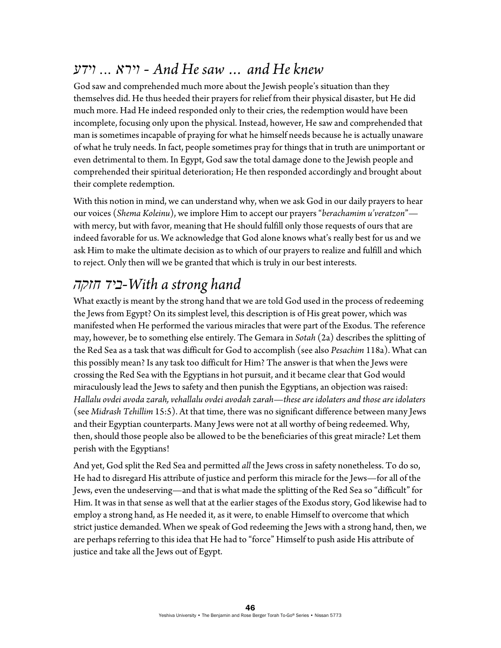#### *וידע ... וירא - And He saw … and He knew*

God saw and comprehended much more about the Jewish people's situation than they themselves did. He thus heeded their prayers for relief from their physical disaster, but He did much more. Had He indeed responded only to their cries, the redemption would have been incomplete, focusing only upon the physical. Instead, however, He saw and comprehended that man is sometimes incapable of praying for what he himself needs because he is actually unaware of what he truly needs. In fact, people sometimes pray for things that in truth are unimportant or even detrimental to them. In Egypt, God saw the total damage done to the Jewish people and comprehended their spiritual deterioration; He then responded accordingly and brought about their complete redemption.

With this notion in mind, we can understand why, when we ask God in our daily prayers to hear our voices (*Shema Koleinu*), we implore Him to accept our prayers "*berachamim u'veratzon*" with mercy, but with favor, meaning that He should fulfill only those requests of ours that are indeed favorable for us. We acknowledge that God alone knows what's really best for us and we ask Him to make the ultimate decision as to which of our prayers to realize and fulfill and which to reject. Only then will we be granted that which is truly in our best interests.

### *חזקה ביד-With a strong hand*

What exactly is meant by the strong hand that we are told God used in the process of redeeming the Jews from Egypt? On its simplest level, this description is of His great power, which was manifested when He performed the various miracles that were part of the Exodus. The reference may, however, be to something else entirely. The Gemara in *Sotah* (2a) describes the splitting of the Red Sea as a task that was difficult for God to accomplish (see also *Pesachim* 118a). What can this possibly mean? Is any task too difficult for Him? The answer is that when the Jews were crossing the Red Sea with the Egyptians in hot pursuit, and it became clear that God would miraculously lead the Jews to safety and then punish the Egyptians, an objection was raised: *Hallalu ovdei avoda zarah, vehallalu ovdei avodah zarah*—*these are idolaters and those are idolaters*  (see *Midrash Tehillim* 15:5). At that time, there was no significant difference between many Jews and their Egyptian counterparts. Many Jews were not at all worthy of being redeemed. Why, then, should those people also be allowed to be the beneficiaries of this great miracle? Let them perish with the Egyptians!

And yet, God split the Red Sea and permitted *all* the Jews cross in safety nonetheless. To do so, He had to disregard His attribute of justice and perform this miracle for the Jews—for all of the Jews, even the undeserving—and that is what made the splitting of the Red Sea so "difficult" for Him. It was in that sense as well that at the earlier stages of the Exodus story, God likewise had to employ a strong hand, as He needed it, as it were, to enable Himself to overcome that which strict justice demanded. When we speak of God redeeming the Jews with a strong hand, then, we are perhaps referring to this idea that He had to "force" Himself to push aside His attribute of justice and take all the Jews out of Egypt.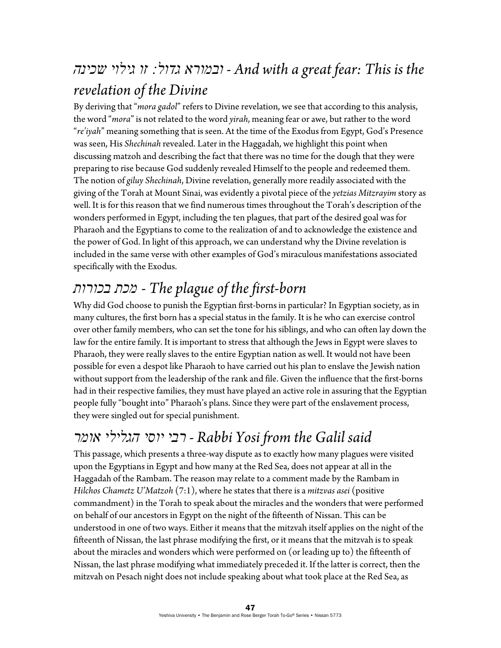# *שכינה גילוי זו :גדול ובמורא - And with a great fear: This is the revelation of the Divine*

By deriving that "*mora gadol*" refers to Divine revelation, we see that according to this analysis, the word "*mora*" is not related to the word *yirah*, meaning fear or awe, but rather to the word "*re'iyah*" meaning something that is seen. At the time of the Exodus from Egypt, God's Presence was seen, His *Shechinah* revealed. Later in the Haggadah, we highlight this point when discussing matzoh and describing the fact that there was no time for the dough that they were preparing to rise because God suddenly revealed Himself to the people and redeemed them. The notion of *giluy Shechinah*, Divine revelation, generally more readily associated with the giving of the Torah at Mount Sinai, was evidently a pivotal piece of the *yetzias Mitzrayim* story as well. It is for this reason that we find numerous times throughout the Torah's description of the wonders performed in Egypt, including the ten plagues, that part of the desired goal was for Pharaoh and the Egyptians to come to the realization of and to acknowledge the existence and the power of God. In light of this approach, we can understand why the Divine revelation is included in the same verse with other examples of God's miraculous manifestations associated specifically with the Exodus.

# *בכורות מכת - The plague of the first-born*

Why did God choose to punish the Egyptian first-borns in particular? In Egyptian society, as in many cultures, the first born has a special status in the family. It is he who can exercise control over other family members, who can set the tone for his siblings, and who can often lay down the law for the entire family. It is important to stress that although the Jews in Egypt were slaves to Pharaoh, they were really slaves to the entire Egyptian nation as well. It would not have been possible for even a despot like Pharaoh to have carried out his plan to enslave the Jewish nation without support from the leadership of the rank and file. Given the influence that the first-borns had in their respective families, they must have played an active role in assuring that the Egyptian people fully "bought into" Pharaoh's plans. Since they were part of the enslavement process, they were singled out for special punishment.

## *אומר הגלילי יוסי רבי - Rabbi Yosi from the Galil said*

This passage, which presents a three-way dispute as to exactly how many plagues were visited upon the Egyptians in Egypt and how many at the Red Sea, does not appear at all in the Haggadah of the Rambam. The reason may relate to a comment made by the Rambam in *Hilchos Chametz U'Matzoh* (7:1), where he states that there is a *mitzvas asei* (positive commandment) in the Torah to speak about the miracles and the wonders that were performed on behalf of our ancestors in Egypt on the night of the fifteenth of Nissan. This can be understood in one of two ways. Either it means that the mitzvah itself applies on the night of the fifteenth of Nissan, the last phrase modifying the first, or it means that the mitzvah is to speak about the miracles and wonders which were performed on (or leading up to) the fifteenth of Nissan, the last phrase modifying what immediately preceded it. If the latter is correct, then the mitzvah on Pesach night does not include speaking about what took place at the Red Sea, as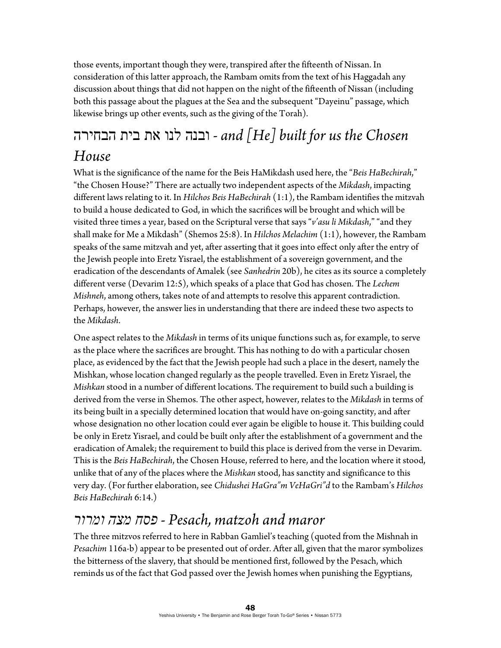those events, important though they were, transpired after the fifteenth of Nissan. In consideration of this latter approach, the Rambam omits from the text of his Haggadah any discussion about things that did not happen on the night of the fifteenth of Nissan (including both this passage about the plagues at the Sea and the subsequent "Dayeinu" passage, which likewise brings up other events, such as the giving of the Torah).

# הבחירה בית את לנו ובנה *- and [He] built for us the Chosen House*

What is the significance of the name for the Beis HaMikdash used here, the "*Beis HaBechirah*," "the Chosen House?" There are actually two independent aspects of the *Mikdash*, impacting different laws relating to it. In *Hilchos Beis HaBechirah* (1:1), the Rambam identifies the mitzvah to build a house dedicated to God, in which the sacrifices will be brought and which will be visited three times a year, based on the Scriptural verse that says "*v'asu li Mikdash*," "and they shall make for Me a Mikdash" (Shemos 25:8). In *Hilchos Melachim* (1:1), however, the Rambam speaks of the same mitzvah and yet, after asserting that it goes into effect only after the entry of the Jewish people into Eretz Yisrael, the establishment of a sovereign government, and the eradication of the descendants of Amalek (see *Sanhedrin* 20b), he cites as its source a completely different verse (Devarim 12:5), which speaks of a place that God has chosen. The *Lechem Mishneh*, among others, takes note of and attempts to resolve this apparent contradiction. Perhaps, however, the answer lies in understanding that there are indeed these two aspects to the *Mikdash*.

One aspect relates to the *Mikdash* in terms of its unique functions such as, for example, to serve as the place where the sacrifices are brought. This has nothing to do with a particular chosen place, as evidenced by the fact that the Jewish people had such a place in the desert, namely the Mishkan, whose location changed regularly as the people travelled. Even in Eretz Yisrael, the *Mishkan* stood in a number of different locations. The requirement to build such a building is derived from the verse in Shemos. The other aspect, however, relates to the *Mikdash* in terms of its being built in a specially determined location that would have on-going sanctity, and after whose designation no other location could ever again be eligible to house it. This building could be only in Eretz Yisrael, and could be built only after the establishment of a government and the eradication of Amalek; the requirement to build this place is derived from the verse in Devarim. This is the *Beis HaBechirah*, the Chosen House, referred to here, and the location where it stood, unlike that of any of the places where the *Mishkan* stood, has sanctity and significance to this very day. (For further elaboration, see *Chidushei HaGra"m VeHaGri"d* to the Rambam's *Hilchos Beis HaBechirah* 6:14.)

#### *ומרור מצה פסח - Pesach, matzoh and maror*

The three mitzvos referred to here in Rabban Gamliel's teaching (quoted from the Mishnah in *Pesachim* 116a-b) appear to be presented out of order. After all, given that the maror symbolizes the bitterness of the slavery, that should be mentioned first, followed by the Pesach, which reminds us of the fact that God passed over the Jewish homes when punishing the Egyptians,